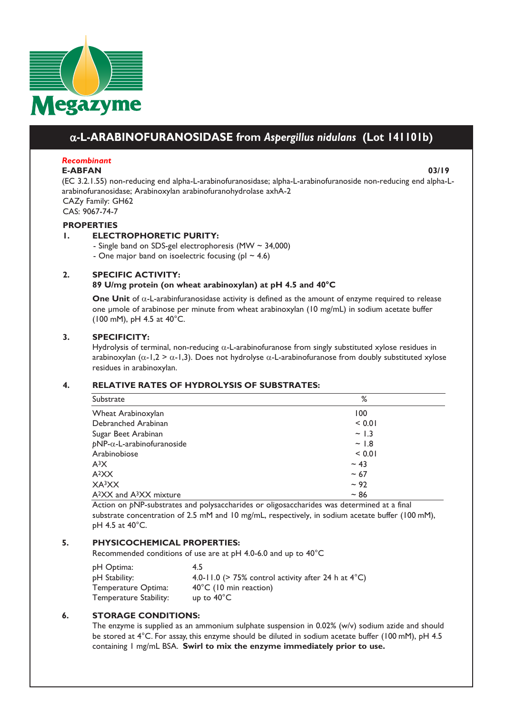

# a**-L-ARABINOFURANOSIDASE from** *Aspergillus nidulans* **(Lot 141101b)**

# *Recombinant*

#### **E-ABFAN 03/19**

(EC 3.2.1.55) non-reducing end alpha-L-arabinofuranosidase; alpha-L-arabinofuranoside non-reducing end alpha-Larabinofuranosidase; Arabinoxylan arabinofuranohydrolase axhA-2 CAZy Family: GH62

CAS: 9067-74-7

#### **PROPERTIES**

### **1. ELECTROPHORETIC PURITY:**

- Single band on SDS-gel electrophoresis (MW ~ 34,000)

- One major band on isoelectric focusing ( $p1 \sim 4.6$ )

### **2. SPECIFIC ACTIVITY:**

#### **89 U/mg protein (on wheat arabinoxylan) at pH 4.5 and 40°C**

**One Unit** of α-L-arabinfuranosidase activity is defined as the amount of enzyme required to release one μmole of arabinose per minute from wheat arabinoxylan (10 mg/mL) in sodium acetate buffer (100 mM), pH 4.5 at 40°C.

### **3. SPECIFICITY:**

Hydrolysis of terminal, non-reducing  $\alpha$ -L-arabinofuranose from singly substituted xylose residues in arabinoxylan ( $\alpha$ -1,2 >  $\alpha$ -1,3). Does not hydrolyse  $\alpha$ -L-arabinofuranose from doubly substituted xylose residues in arabinoxylan.

# **4. RELATIVE RATES OF HYDROLYSIS OF SUBSTRATES:**

| Substrate                                       | %          |  |
|-------------------------------------------------|------------|--|
| Wheat Arabinoxylan                              | 100        |  |
| Debranched Arabinan                             | < 0.01     |  |
| Sugar Beet Arabinan                             | $\sim$ 1.3 |  |
| $pNP-\alpha$ -L-arabinofuranoside               | ~1.8       |  |
| Arabinobiose                                    | < 0.01     |  |
| $A^3X$                                          | $~1$ 43    |  |
| A <sup>2</sup> XX                               | $~1$ 67    |  |
| XA3XX                                           | $~1$ 92    |  |
| A <sup>2</sup> XX and A <sup>3</sup> XX mixture | $~1$ 86    |  |

Action on *p*NP-substrates and polysaccharides or oligosaccharides was determined at a final substrate concentration of 2.5 mM and 10 mg/mL, respectively, in sodium acetate buffer (100 mM), pH 4.5 at 40°C.

# **5. PHYSICOCHEMICAL PROPERTIES:**

Recommended conditions of use are at pH 4.0-6.0 and up to 40°C

| pH Optima:             | 4.5                                                               |
|------------------------|-------------------------------------------------------------------|
| pH Stability:          | 4.0-11.0 ( $>$ 75% control activity after 24 h at 4 $^{\circ}$ C) |
| Temperature Optima:    | $40^{\circ}$ C (10 min reaction)                                  |
| Temperature Stability: | up to $40^{\circ}$ C                                              |

# **6. STORAGE CONDITIONS:**

The enzyme is supplied as an ammonium sulphate suspension in 0.02% (w/v) sodium azide and should be stored at 4°C. For assay, this enzyme should be diluted in sodium acetate buffer (100 mM), pH 4.5 containing 1 mg/mL BSA. **Swirl to mix the enzyme immediately prior to use.**